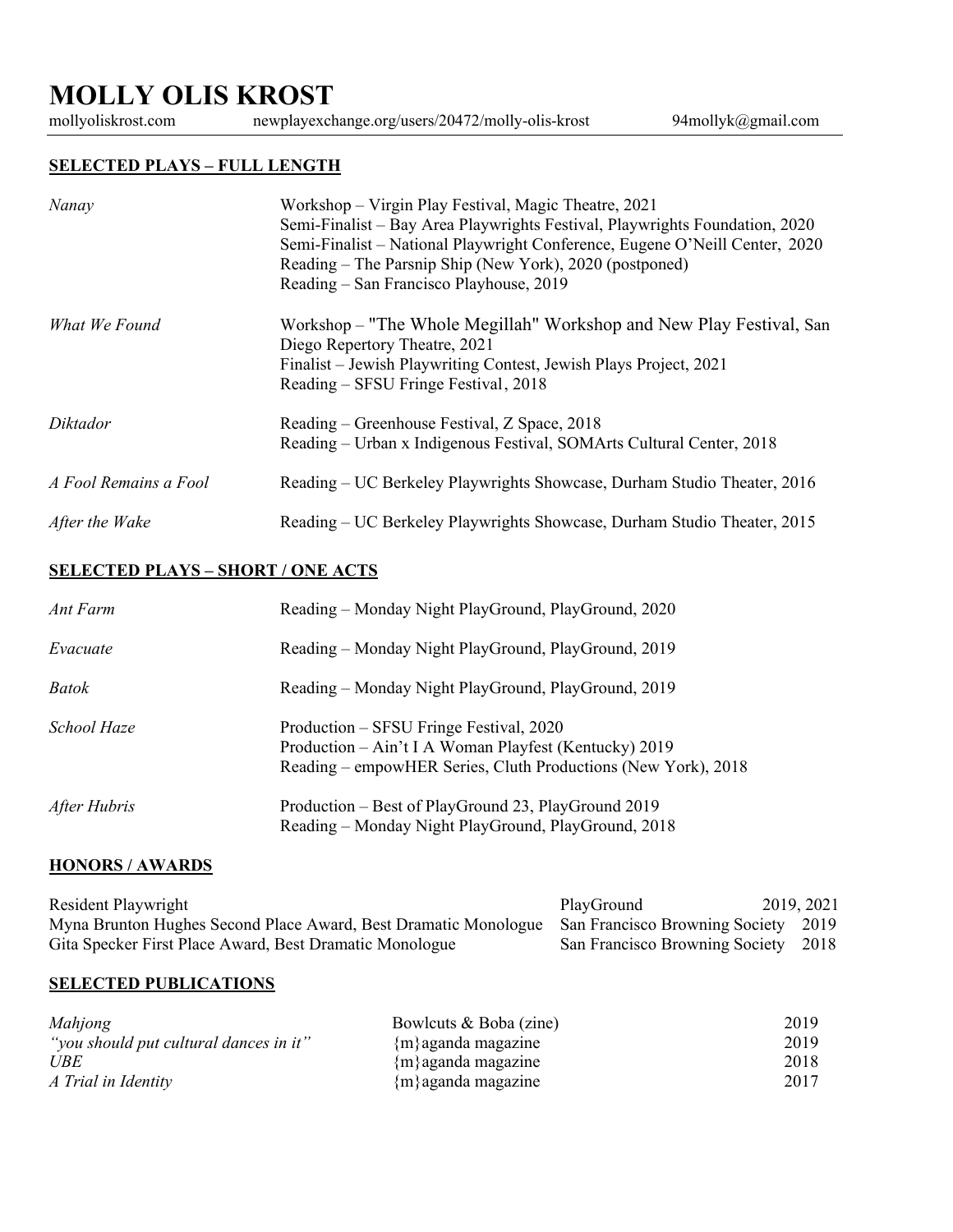# **MOLLY OLIS KROST**

newplayexchange.org/users/20472/molly-olis-krost 94mollyk@gmail.com

### **SELECTED PLAYS – FULL LENGTH**

| Nanay                 | Workshop – Virgin Play Festival, Magic Theatre, 2021<br>Semi-Finalist – Bay Area Playwrights Festival, Playwrights Foundation, 2020<br>Semi-Finalist - National Playwright Conference, Eugene O'Neill Center, 2020<br>Reading – The Parsnip Ship (New York), 2020 (postponed)<br>Reading – San Francisco Playhouse, 2019 |
|-----------------------|--------------------------------------------------------------------------------------------------------------------------------------------------------------------------------------------------------------------------------------------------------------------------------------------------------------------------|
| What We Found         | Workshop – "The Whole Megillah" Workshop and New Play Festival, San<br>Diego Repertory Theatre, 2021<br>Finalist – Jewish Playwriting Contest, Jewish Plays Project, 2021<br>Reading – SFSU Fringe Festival, 2018                                                                                                        |
| Diktador              | Reading – Greenhouse Festival, Z Space, 2018<br>Reading - Urban x Indigenous Festival, SOMArts Cultural Center, 2018                                                                                                                                                                                                     |
| A Fool Remains a Fool | Reading – UC Berkeley Playwrights Showcase, Durham Studio Theater, 2016                                                                                                                                                                                                                                                  |
| After the Wake        | Reading – UC Berkeley Playwrights Showcase, Durham Studio Theater, 2015                                                                                                                                                                                                                                                  |

## **SELECTED PLAYS – SHORT / ONE ACTS**

| Ant Farm     | Reading – Monday Night PlayGround, PlayGround, 2020                                                                                                               |
|--------------|-------------------------------------------------------------------------------------------------------------------------------------------------------------------|
| Evacuate     | Reading – Monday Night PlayGround, PlayGround, 2019                                                                                                               |
| <b>Batok</b> | Reading – Monday Night PlayGround, PlayGround, 2019                                                                                                               |
| School Haze  | Production – SFSU Fringe Festival, 2020<br>Production - Ain't I A Woman Playfest (Kentucky) 2019<br>Reading – empowHER Series, Cluth Productions (New York), 2018 |
| After Hubris | Production – Best of PlayGround 23, PlayGround 2019<br>Reading - Monday Night PlayGround, PlayGround, 2018                                                        |

#### **HONORS / AWARDS**

| Resident Playwright                                                                                 | PlayGround                          | 2019, 2021 |  |
|-----------------------------------------------------------------------------------------------------|-------------------------------------|------------|--|
| Myna Brunton Hughes Second Place Award, Best Dramatic Monologue San Francisco Browning Society 2019 |                                     |            |  |
| Gita Specker First Place Award, Best Dramatic Monologue                                             | San Francisco Browning Society 2018 |            |  |

#### **SELECTED PUBLICATIONS**

| Mahjong                                | Bowlcuts & Boba (zine)          | 2019 |
|----------------------------------------|---------------------------------|------|
| "you should put cultural dances in it" | ${m}$ aganda magazine           | 2019 |
| <b>UBE</b>                             | ${m}$ aganda magazine           | 2018 |
| A Trial in Identity                    | ${m \choose m}$ aganda magazine | 2017 |